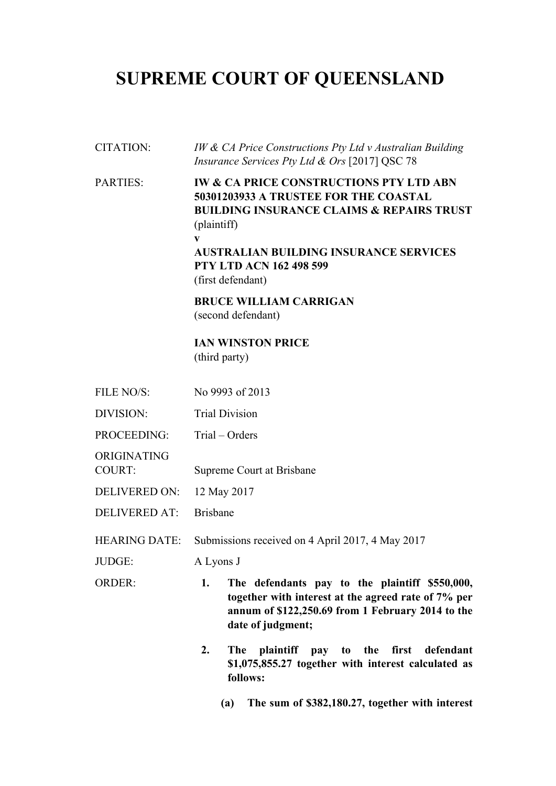# **SUPREME COURT OF QUEENSLAND**

# CITATION: *IW & CA Price Constructions Pty Ltd v Australian Building Insurance Services Pty Ltd & Ors* [2017] QSC 78 PARTIES: **IW & CA PRICE CONSTRUCTIONS PTY LTD ABN 50301203933 A TRUSTEE FOR THE COASTAL BUILDING INSURANCE CLAIMS & REPAIRS TRUST**  (plaintiff) **v AUSTRALIAN BUILDING INSURANCE SERVICES PTY LTD ACN 162 498 599**  (first defendant) **BRUCE WILLIAM CARRIGAN**  (second defendant) **IAN WINSTON PRICE**  (third party) FILE NO/S: No 9993 of 2013 DIVISION: Trial Division PROCEEDING: Trial – Orders ORIGINATING COURT: Supreme Court at Brisbane DELIVERED ON: 12 May 2017 DELIVERED AT: Brisbane HEARING DATE: Submissions received on 4 April 2017, 4 May 2017 JUDGE: A Lyons J ORDER: **1. The defendants pay to the plaintiff \$550,000, together with interest at the agreed rate of 7% per annum of \$122,250.69 from 1 February 2014 to the date of judgment; 2. The plaintiff pay to the first defendant \$1,075,855.27 together with interest calculated as follows: (a) The sum of \$382,180.27, together with interest**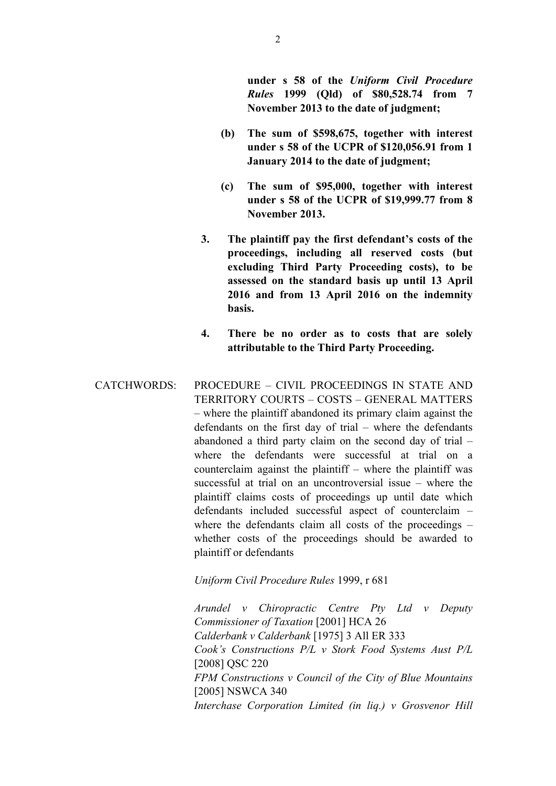**under s 58 of the** *Uniform Civil Procedure Rules* **1999 (Qld) of \$80,528.74 from 7 November 2013 to the date of judgment;** 

- **(b) The sum of \$598,675, together with interest under s 58 of the UCPR of \$120,056.91 from 1 January 2014 to the date of judgment;**
- **(c) The sum of \$95,000, together with interest under s 58 of the UCPR of \$19,999.77 from 8 November 2013.**
- **3. The plaintiff pay the first defendant's costs of the proceedings, including all reserved costs (but excluding Third Party Proceeding costs), to be assessed on the standard basis up until 13 April 2016 and from 13 April 2016 on the indemnity basis.**
- **4. There be no order as to costs that are solely attributable to the Third Party Proceeding.**
- CATCHWORDS: PROCEDURE CIVIL PROCEEDINGS IN STATE AND TERRITORY COURTS – COSTS – GENERAL MATTERS – where the plaintiff abandoned its primary claim against the defendants on the first day of trial – where the defendants abandoned a third party claim on the second day of trial – where the defendants were successful at trial on a counterclaim against the plaintiff – where the plaintiff was successful at trial on an uncontroversial issue – where the plaintiff claims costs of proceedings up until date which defendants included successful aspect of counterclaim – where the defendants claim all costs of the proceedings – whether costs of the proceedings should be awarded to plaintiff or defendants

# *Uniform Civil Procedure Rules* 1999, r 681

*Arundel v Chiropractic Centre Pty Ltd v Deputy Commissioner of Taxation* [2001] HCA 26 *Calderbank v Calderbank* [1975] 3 All ER 333 *Cook's Constructions P/L v Stork Food Systems Aust P/L*  [2008] QSC 220 *FPM Constructions v Council of the City of Blue Mountains*  [2005] NSWCA 340 *Interchase Corporation Limited (in liq.) v Grosvenor Hill*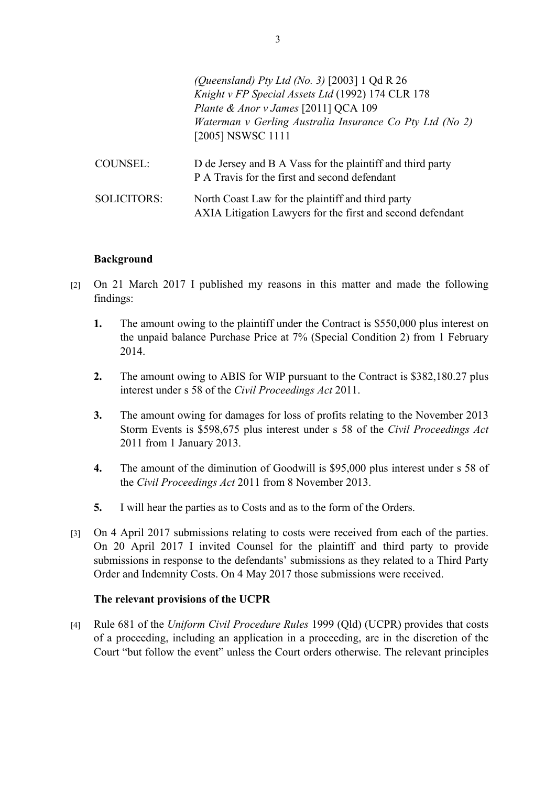|                    | (Queensland) Pty Ltd (No. 3) [2003] 1 Qd R 26<br>Knight v FP Special Assets Ltd (1992) 174 CLR 178<br>Plante & Anor v James [2011] QCA 109<br>Waterman v Gerling Australia Insurance Co Pty Ltd (No 2)<br>[2005] NSWSC 1111 |
|--------------------|-----------------------------------------------------------------------------------------------------------------------------------------------------------------------------------------------------------------------------|
| <b>COUNSEL:</b>    | D de Jersey and B A Vass for the plaintiff and third party<br>P A Travis for the first and second defendant                                                                                                                 |
| <b>SOLICITORS:</b> | North Coast Law for the plaintiff and third party<br>AXIA Litigation Lawyers for the first and second defendant                                                                                                             |

#### **Background**

- [2] On 21 March 2017 I published my reasons in this matter and made the following findings:
	- **1.** The amount owing to the plaintiff under the Contract is \$550,000 plus interest on the unpaid balance Purchase Price at 7% (Special Condition 2) from 1 February 2014.
	- **2.** The amount owing to ABIS for WIP pursuant to the Contract is \$382,180.27 plus interest under s 58 of the *Civil Proceedings Act* 2011.
	- **3.** The amount owing for damages for loss of profits relating to the November 2013 Storm Events is \$598,675 plus interest under s 58 of the *Civil Proceedings Act*  2011 from 1 January 2013.
	- **4.** The amount of the diminution of Goodwill is \$95,000 plus interest under s 58 of the *Civil Proceedings Act* 2011 from 8 November 2013.
	- **5.** I will hear the parties as to Costs and as to the form of the Orders.
- [3] On 4 April 2017 submissions relating to costs were received from each of the parties. On 20 April 2017 I invited Counsel for the plaintiff and third party to provide submissions in response to the defendants' submissions as they related to a Third Party Order and Indemnity Costs. On 4 May 2017 those submissions were received.

#### **The relevant provisions of the UCPR**

[4] Rule 681 of the *Uniform Civil Procedure Rules* 1999 (Qld) (UCPR) provides that costs of a proceeding, including an application in a proceeding, are in the discretion of the Court "but follow the event" unless the Court orders otherwise. The relevant principles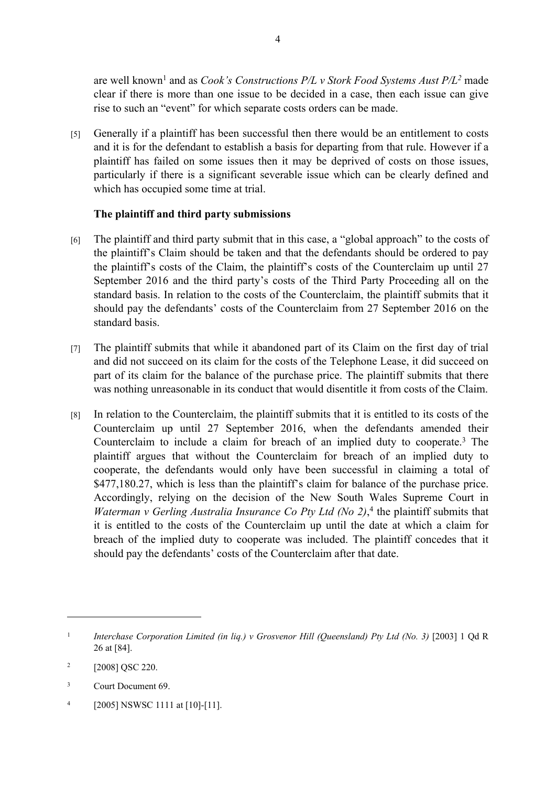are well known<sup>1</sup> and as *Cook's Constructions P/L v Stork Food Systems Aust P/L<sup>2</sup> made* clear if there is more than one issue to be decided in a case, then each issue can give rise to such an "event" for which separate costs orders can be made.

[5] Generally if a plaintiff has been successful then there would be an entitlement to costs and it is for the defendant to establish a basis for departing from that rule. However if a plaintiff has failed on some issues then it may be deprived of costs on those issues, particularly if there is a significant severable issue which can be clearly defined and which has occupied some time at trial.

# **The plaintiff and third party submissions**

- [6] The plaintiff and third party submit that in this case, a "global approach" to the costs of the plaintiff's Claim should be taken and that the defendants should be ordered to pay the plaintiff's costs of the Claim, the plaintiff's costs of the Counterclaim up until 27 September 2016 and the third party's costs of the Third Party Proceeding all on the standard basis. In relation to the costs of the Counterclaim, the plaintiff submits that it should pay the defendants' costs of the Counterclaim from 27 September 2016 on the standard basis.
- [7] The plaintiff submits that while it abandoned part of its Claim on the first day of trial and did not succeed on its claim for the costs of the Telephone Lease, it did succeed on part of its claim for the balance of the purchase price. The plaintiff submits that there was nothing unreasonable in its conduct that would disentitle it from costs of the Claim.
- [8] In relation to the Counterclaim, the plaintiff submits that it is entitled to its costs of the Counterclaim up until 27 September 2016, when the defendants amended their Counterclaim to include a claim for breach of an implied duty to cooperate.<sup>3</sup> The plaintiff argues that without the Counterclaim for breach of an implied duty to cooperate, the defendants would only have been successful in claiming a total of \$477,180.27, which is less than the plaintiff's claim for balance of the purchase price. Accordingly, relying on the decision of the New South Wales Supreme Court in *Waterman v Gerling Australia Insurance Co Pty Ltd (No 2)*,<sup>4</sup> the plaintiff submits that it is entitled to the costs of the Counterclaim up until the date at which a claim for breach of the implied duty to cooperate was included. The plaintiff concedes that it should pay the defendants' costs of the Counterclaim after that date.

<sup>1</sup> *Interchase Corporation Limited (in liq.) v Grosvenor Hill (Queensland) Pty Ltd (No. 3)* [2003] 1 Qd R 26 at [84].

<sup>2</sup> [2008] QSC 220.

<sup>3</sup> Court Document 69.

<sup>4</sup> [2005] NSWSC 1111 at [10]-[11].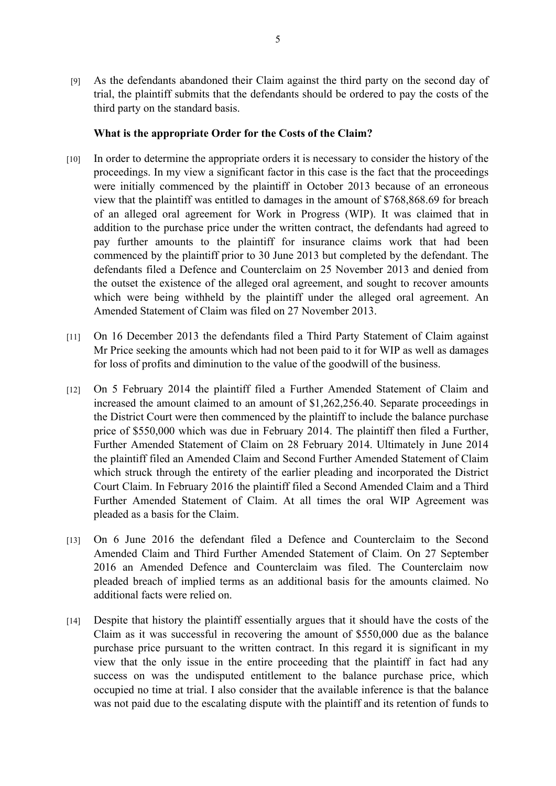[9] As the defendants abandoned their Claim against the third party on the second day of trial, the plaintiff submits that the defendants should be ordered to pay the costs of the third party on the standard basis.

#### **What is the appropriate Order for the Costs of the Claim?**

- [10] In order to determine the appropriate orders it is necessary to consider the history of the proceedings. In my view a significant factor in this case is the fact that the proceedings were initially commenced by the plaintiff in October 2013 because of an erroneous view that the plaintiff was entitled to damages in the amount of \$768,868.69 for breach of an alleged oral agreement for Work in Progress (WIP). It was claimed that in addition to the purchase price under the written contract, the defendants had agreed to pay further amounts to the plaintiff for insurance claims work that had been commenced by the plaintiff prior to 30 June 2013 but completed by the defendant. The defendants filed a Defence and Counterclaim on 25 November 2013 and denied from the outset the existence of the alleged oral agreement, and sought to recover amounts which were being withheld by the plaintiff under the alleged oral agreement. An Amended Statement of Claim was filed on 27 November 2013.
- [11] On 16 December 2013 the defendants filed a Third Party Statement of Claim against Mr Price seeking the amounts which had not been paid to it for WIP as well as damages for loss of profits and diminution to the value of the goodwill of the business.
- [12] On 5 February 2014 the plaintiff filed a Further Amended Statement of Claim and increased the amount claimed to an amount of \$1,262,256.40. Separate proceedings in the District Court were then commenced by the plaintiff to include the balance purchase price of \$550,000 which was due in February 2014. The plaintiff then filed a Further, Further Amended Statement of Claim on 28 February 2014. Ultimately in June 2014 the plaintiff filed an Amended Claim and Second Further Amended Statement of Claim which struck through the entirety of the earlier pleading and incorporated the District Court Claim. In February 2016 the plaintiff filed a Second Amended Claim and a Third Further Amended Statement of Claim. At all times the oral WIP Agreement was pleaded as a basis for the Claim.
- [13] On 6 June 2016 the defendant filed a Defence and Counterclaim to the Second Amended Claim and Third Further Amended Statement of Claim. On 27 September 2016 an Amended Defence and Counterclaim was filed. The Counterclaim now pleaded breach of implied terms as an additional basis for the amounts claimed. No additional facts were relied on.
- [14] Despite that history the plaintiff essentially argues that it should have the costs of the Claim as it was successful in recovering the amount of \$550,000 due as the balance purchase price pursuant to the written contract. In this regard it is significant in my view that the only issue in the entire proceeding that the plaintiff in fact had any success on was the undisputed entitlement to the balance purchase price, which occupied no time at trial. I also consider that the available inference is that the balance was not paid due to the escalating dispute with the plaintiff and its retention of funds to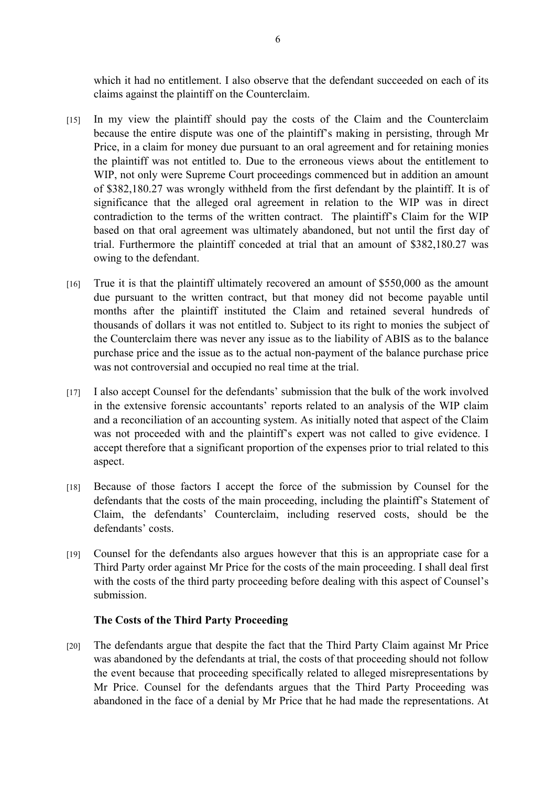which it had no entitlement. I also observe that the defendant succeeded on each of its claims against the plaintiff on the Counterclaim.

- [15] In my view the plaintiff should pay the costs of the Claim and the Counterclaim because the entire dispute was one of the plaintiff's making in persisting, through Mr Price, in a claim for money due pursuant to an oral agreement and for retaining monies the plaintiff was not entitled to. Due to the erroneous views about the entitlement to WIP, not only were Supreme Court proceedings commenced but in addition an amount of \$382,180.27 was wrongly withheld from the first defendant by the plaintiff. It is of significance that the alleged oral agreement in relation to the WIP was in direct contradiction to the terms of the written contract. The plaintiff's Claim for the WIP based on that oral agreement was ultimately abandoned, but not until the first day of trial. Furthermore the plaintiff conceded at trial that an amount of \$382,180.27 was owing to the defendant.
- [16] True it is that the plaintiff ultimately recovered an amount of \$550,000 as the amount due pursuant to the written contract, but that money did not become payable until months after the plaintiff instituted the Claim and retained several hundreds of thousands of dollars it was not entitled to. Subject to its right to monies the subject of the Counterclaim there was never any issue as to the liability of ABIS as to the balance purchase price and the issue as to the actual non-payment of the balance purchase price was not controversial and occupied no real time at the trial.
- [17] I also accept Counsel for the defendants' submission that the bulk of the work involved in the extensive forensic accountants' reports related to an analysis of the WIP claim and a reconciliation of an accounting system. As initially noted that aspect of the Claim was not proceeded with and the plaintiff's expert was not called to give evidence. I accept therefore that a significant proportion of the expenses prior to trial related to this aspect.
- [18] Because of those factors I accept the force of the submission by Counsel for the defendants that the costs of the main proceeding, including the plaintiff's Statement of Claim, the defendants' Counterclaim, including reserved costs, should be the defendants' costs.
- [19] Counsel for the defendants also argues however that this is an appropriate case for a Third Party order against Mr Price for the costs of the main proceeding. I shall deal first with the costs of the third party proceeding before dealing with this aspect of Counsel's submission.

#### **The Costs of the Third Party Proceeding**

[20] The defendants argue that despite the fact that the Third Party Claim against Mr Price was abandoned by the defendants at trial, the costs of that proceeding should not follow the event because that proceeding specifically related to alleged misrepresentations by Mr Price. Counsel for the defendants argues that the Third Party Proceeding was abandoned in the face of a denial by Mr Price that he had made the representations. At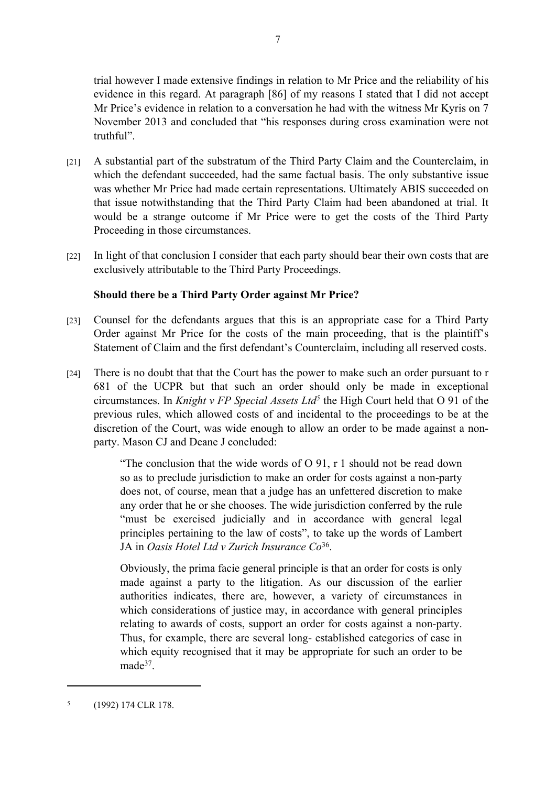trial however I made extensive findings in relation to Mr Price and the reliability of his evidence in this regard. At paragraph [86] of my reasons I stated that I did not accept Mr Price's evidence in relation to a conversation he had with the witness Mr Kyris on 7 November 2013 and concluded that "his responses during cross examination were not truthful".

- [21] A substantial part of the substratum of the Third Party Claim and the Counterclaim, in which the defendant succeeded, had the same factual basis. The only substantive issue was whether Mr Price had made certain representations. Ultimately ABIS succeeded on that issue notwithstanding that the Third Party Claim had been abandoned at trial. It would be a strange outcome if Mr Price were to get the costs of the Third Party Proceeding in those circumstances.
- [22] In light of that conclusion I consider that each party should bear their own costs that are exclusively attributable to the Third Party Proceedings.

## **Should there be a Third Party Order against Mr Price?**

- [23] Counsel for the defendants argues that this is an appropriate case for a Third Party Order against Mr Price for the costs of the main proceeding, that is the plaintiff's Statement of Claim and the first defendant's Counterclaim, including all reserved costs.
- [24] There is no doubt that that the Court has the power to make such an order pursuant to r 681 of the UCPR but that such an order should only be made in exceptional circumstances. In *Knight v FP Special Assets Ltd<sup>5</sup>* the High Court held that O 91 of the previous rules, which allowed costs of and incidental to the proceedings to be at the discretion of the Court, was wide enough to allow an order to be made against a nonparty. Mason CJ and Deane J concluded:

"The conclusion that the wide words of O 91, r 1 should not be read down so as to preclude jurisdiction to make an order for costs against a non-party does not, of course, mean that a judge has an unfettered discretion to make any order that he or she chooses. The wide jurisdiction conferred by the rule "must be exercised judicially and in accordance with general legal principles pertaining to the law of costs", to take up the words of Lambert JA in *Oasis Hotel Ltd v Zurich Insurance Co*<sup>36</sup> .

Obviously, the prima facie general principle is that an order for costs is only made against a party to the litigation. As our discussion of the earlier authorities indicates, there are, however, a variety of circumstances in which considerations of justice may, in accordance with general principles relating to awards of costs, support an order for costs against a non-party. Thus, for example, there are several long- established categories of case in which equity recognised that it may be appropriate for such an order to be made<sup>37</sup>.

<sup>5</sup> (1992) 174 CLR 178.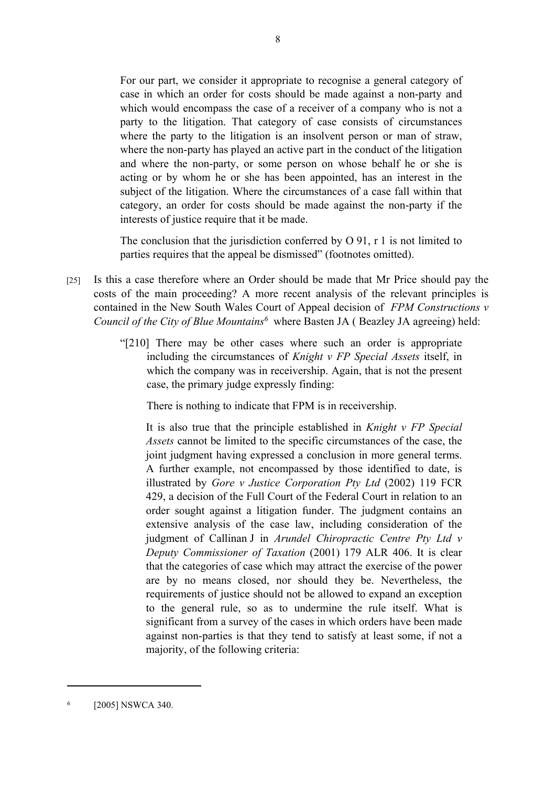For our part, we consider it appropriate to recognise a general category of case in which an order for costs should be made against a non-party and which would encompass the case of a receiver of a company who is not a party to the litigation. That category of case consists of circumstances where the party to the litigation is an insolvent person or man of straw, where the non-party has played an active part in the conduct of the litigation and where the non-party, or some person on whose behalf he or she is acting or by whom he or she has been appointed, has an interest in the subject of the litigation. Where the circumstances of a case fall within that category, an order for costs should be made against the non-party if the interests of justice require that it be made.

The conclusion that the jurisdiction conferred by O 91, r 1 is not limited to parties requires that the appeal be dismissed" (footnotes omitted).

- [25] Is this a case therefore where an Order should be made that Mr Price should pay the costs of the main proceeding? A more recent analysis of the relevant principles is contained in the New South Wales Court of Appeal decision of *FPM Constructions v Council of the City of Blue Mountains<sup>6</sup>* where Basten JA ( Beazley JA agreeing) held:
	- "[210] There may be other cases where such an order is appropriate including the circumstances of *Knight v FP Special Assets* itself, in which the company was in receivership. Again, that is not the present case, the primary judge expressly finding:

There is nothing to indicate that FPM is in receivership.

It is also true that the principle established in *Knight v FP Special Assets* cannot be limited to the specific circumstances of the case, the joint judgment having expressed a conclusion in more general terms. A further example, not encompassed by those identified to date, is illustrated by *Gore v Justice Corporation Pty Ltd* (2002) 119 FCR 429, a decision of the Full Court of the Federal Court in relation to an order sought against a litigation funder. The judgment contains an extensive analysis of the case law, including consideration of the judgment of Callinan J in *Arundel Chiropractic Centre Pty Ltd v Deputy Commissioner of Taxation* (2001) 179 ALR 406. It is clear that the categories of case which may attract the exercise of the power are by no means closed, nor should they be. Nevertheless, the requirements of justice should not be allowed to expand an exception to the general rule, so as to undermine the rule itself. What is significant from a survey of the cases in which orders have been made against non-parties is that they tend to satisfy at least some, if not a majority, of the following criteria:

<sup>6</sup> [2005] NSWCA 340.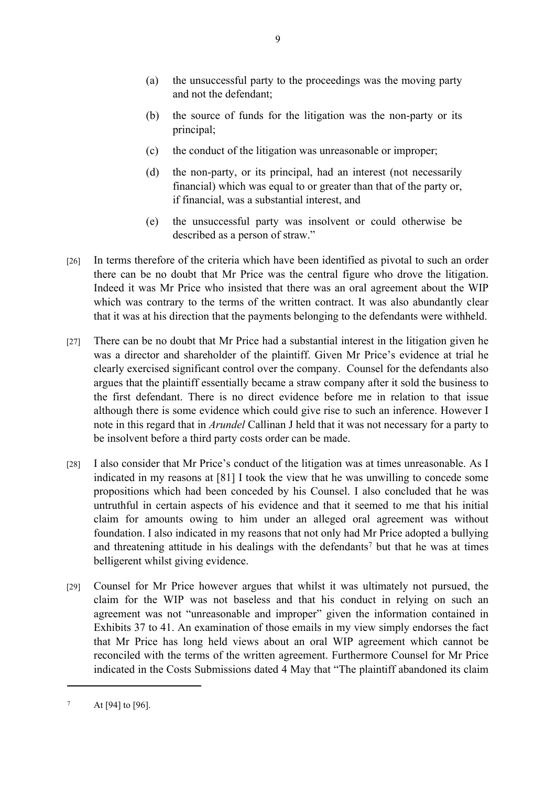- (a) the unsuccessful party to the proceedings was the moving party and not the defendant;
- (b) the source of funds for the litigation was the non-party or its principal;
- (c) the conduct of the litigation was unreasonable or improper;
- (d) the non-party, or its principal, had an interest (not necessarily financial) which was equal to or greater than that of the party or, if financial, was a substantial interest, and
- (e) the unsuccessful party was insolvent or could otherwise be described as a person of straw."
- [26] In terms therefore of the criteria which have been identified as pivotal to such an order there can be no doubt that Mr Price was the central figure who drove the litigation. Indeed it was Mr Price who insisted that there was an oral agreement about the WIP which was contrary to the terms of the written contract. It was also abundantly clear that it was at his direction that the payments belonging to the defendants were withheld.
- [27] There can be no doubt that Mr Price had a substantial interest in the litigation given he was a director and shareholder of the plaintiff. Given Mr Price's evidence at trial he clearly exercised significant control over the company. Counsel for the defendants also argues that the plaintiff essentially became a straw company after it sold the business to the first defendant. There is no direct evidence before me in relation to that issue although there is some evidence which could give rise to such an inference. However I note in this regard that in *Arundel* Callinan J held that it was not necessary for a party to be insolvent before a third party costs order can be made.
- [28] I also consider that Mr Price's conduct of the litigation was at times unreasonable. As I indicated in my reasons at [81] I took the view that he was unwilling to concede some propositions which had been conceded by his Counsel. I also concluded that he was untruthful in certain aspects of his evidence and that it seemed to me that his initial claim for amounts owing to him under an alleged oral agreement was without foundation. I also indicated in my reasons that not only had Mr Price adopted a bullying and threatening attitude in his dealings with the defendants<sup>7</sup> but that he was at times belligerent whilst giving evidence.
- [29] Counsel for Mr Price however argues that whilst it was ultimately not pursued, the claim for the WIP was not baseless and that his conduct in relying on such an agreement was not "unreasonable and improper" given the information contained in Exhibits 37 to 41. An examination of those emails in my view simply endorses the fact that Mr Price has long held views about an oral WIP agreement which cannot be reconciled with the terms of the written agreement. Furthermore Counsel for Mr Price indicated in the Costs Submissions dated 4 May that "The plaintiff abandoned its claim

<sup>7</sup> At [94] to [96].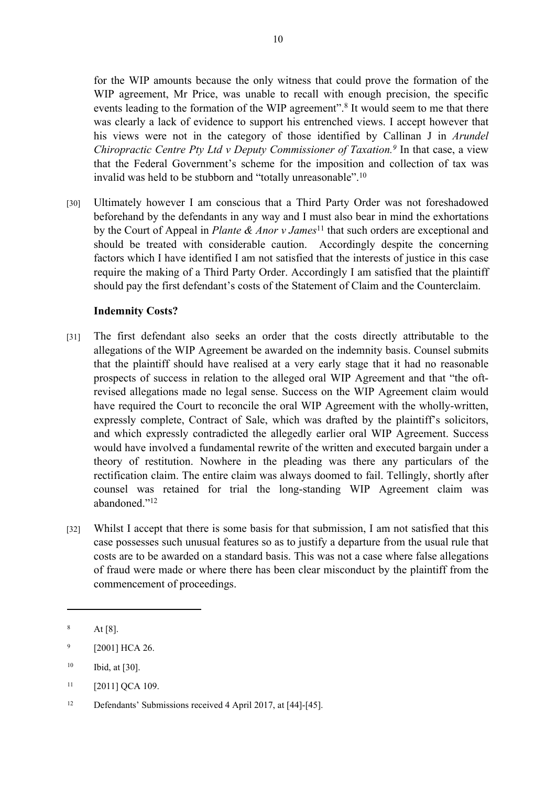for the WIP amounts because the only witness that could prove the formation of the WIP agreement, Mr Price, was unable to recall with enough precision, the specific events leading to the formation of the WIP agreement".<sup>8</sup> It would seem to me that there was clearly a lack of evidence to support his entrenched views. I accept however that his views were not in the category of those identified by Callinan J in *Arundel Chiropractic Centre Pty Ltd v Deputy Commissioner of Taxation.<sup>9</sup>* In that case, a view that the Federal Government's scheme for the imposition and collection of tax was invalid was held to be stubborn and "totally unreasonable".<sup>10</sup>

[30] Ultimately however I am conscious that a Third Party Order was not foreshadowed beforehand by the defendants in any way and I must also bear in mind the exhortations by the Court of Appeal in *Plante & Anor v James*<sup>11</sup> that such orders are exceptional and should be treated with considerable caution. Accordingly despite the concerning factors which I have identified I am not satisfied that the interests of justice in this case require the making of a Third Party Order. Accordingly I am satisfied that the plaintiff should pay the first defendant's costs of the Statement of Claim and the Counterclaim.

## **Indemnity Costs?**

- [31] The first defendant also seeks an order that the costs directly attributable to the allegations of the WIP Agreement be awarded on the indemnity basis. Counsel submits that the plaintiff should have realised at a very early stage that it had no reasonable prospects of success in relation to the alleged oral WIP Agreement and that "the oftrevised allegations made no legal sense. Success on the WIP Agreement claim would have required the Court to reconcile the oral WIP Agreement with the wholly-written, expressly complete, Contract of Sale, which was drafted by the plaintiff's solicitors, and which expressly contradicted the allegedly earlier oral WIP Agreement. Success would have involved a fundamental rewrite of the written and executed bargain under a theory of restitution. Nowhere in the pleading was there any particulars of the rectification claim. The entire claim was always doomed to fail. Tellingly, shortly after counsel was retained for trial the long-standing WIP Agreement claim was abandoned."<sup>12</sup>
- [32] Whilst I accept that there is some basis for that submission, I am not satisfied that this case possesses such unusual features so as to justify a departure from the usual rule that costs are to be awarded on a standard basis. This was not a case where false allegations of fraud were made or where there has been clear misconduct by the plaintiff from the commencement of proceedings.

<sup>8</sup> At [8].

<sup>9</sup> [2001] HCA 26.

 $10$  Ibid, at [30].

 $11$  [2011] QCA 109.

<sup>12</sup> Defendants' Submissions received 4 April 2017, at [44]-[45].